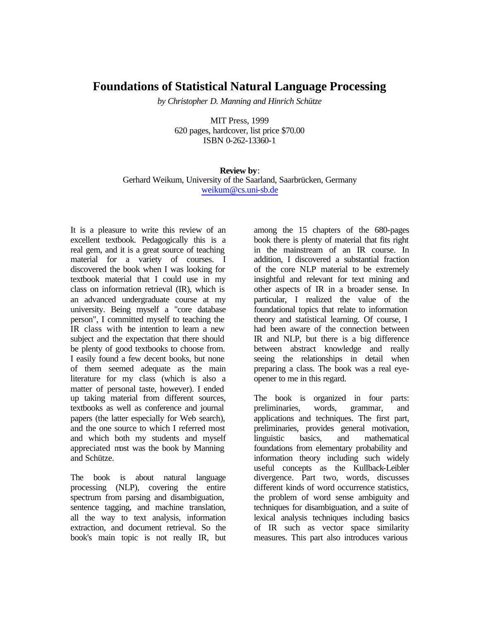## **Foundations of Statistical Natural Language Processing**

*by Christopher D. Manning and Hinrich Schütze*

MIT Press, 1999 620 pages, hardcover, list price \$70.00 ISBN 0-262-13360-1

**Review by**: Gerhard Weikum, University of the Saarland, Saarbrücken, Germany weikum@cs.uni-sb.de

It is a pleasure to write this review of an excellent textbook. Pedagogically this is a real gem, and it is a great source of teaching material for a variety of courses. I discovered the book when I was looking for textbook material that I could use in my class on information retrieval (IR), which is an advanced undergraduate course at my university. Being myself a "core database person", I committed myself to teaching the IR class with the intention to learn a new subject and the expectation that there should be plenty of good textbooks to choose from. I easily found a few decent books, but none of them seemed adequate as the main literature for my class (which is also a matter of personal taste, however). I ended up taking material from different sources, textbooks as well as conference and journal papers (the latter especially for Web search), and the one source to which I referred most and which both my students and myself appreciated most was the book by Manning and Schütze.

The book is about natural language processing (NLP), covering the entire spectrum from parsing and disambiguation, sentence tagging, and machine translation, all the way to text analysis, information extraction, and document retrieval. So the book's main topic is not really IR, but among the 15 chapters of the 680-pages book there is plenty of material that fits right in the mainstream of an IR course. In addition, I discovered a substantial fraction of the core NLP material to be extremely insightful and relevant for text mining and other aspects of IR in a broader sense. In particular, I realized the value of the foundational topics that relate to information theory and statistical learning. Of course, I had been aware of the connection between IR and NLP, but there is a big difference between abstract knowledge and really seeing the relationships in detail when preparing a class. The book was a real eyeopener to me in this regard.

The book is organized in four parts: preliminaries, words, grammar, and applications and techniques. The first part, preliminaries, provides general motivation, linguistic basics, and mathematical foundations from elementary probability and information theory including such widely useful concepts as the Kullback-Leibler divergence. Part two, words, discusses different kinds of word occurrence statistics, the problem of word sense ambiguity and techniques for disambiguation, and a suite of lexical analysis techniques including basics of IR such as vector space similarity measures. This part also introduces various